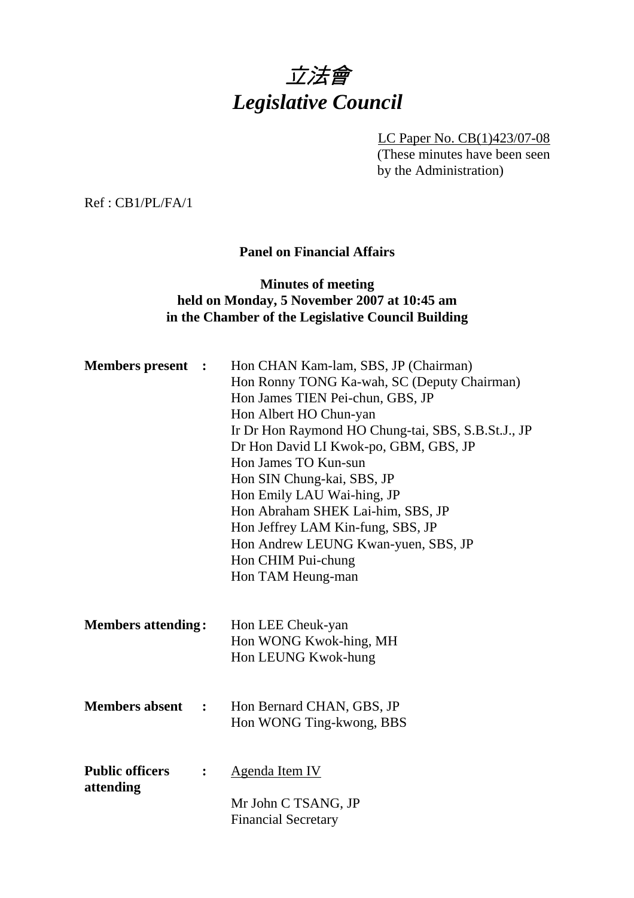

LC Paper No. CB(1)423/07-08 (These minutes have been seen by the Administration)

Ref : CB1/PL/FA/1

#### **Panel on Financial Affairs**

#### **Minutes of meeting held on Monday, 5 November 2007 at 10:45 am in the Chamber of the Legislative Council Building**

| <b>Members present :</b>            |                | Hon CHAN Kam-lam, SBS, JP (Chairman)<br>Hon Ronny TONG Ka-wah, SC (Deputy Chairman)<br>Hon James TIEN Pei-chun, GBS, JP<br>Hon Albert HO Chun-yan<br>Ir Dr Hon Raymond HO Chung-tai, SBS, S.B.St.J., JP<br>Dr Hon David LI Kwok-po, GBM, GBS, JP<br>Hon James TO Kun-sun<br>Hon SIN Chung-kai, SBS, JP<br>Hon Emily LAU Wai-hing, JP<br>Hon Abraham SHEK Lai-him, SBS, JP<br>Hon Jeffrey LAM Kin-fung, SBS, JP<br>Hon Andrew LEUNG Kwan-yuen, SBS, JP<br>Hon CHIM Pui-chung<br>Hon TAM Heung-man |
|-------------------------------------|----------------|--------------------------------------------------------------------------------------------------------------------------------------------------------------------------------------------------------------------------------------------------------------------------------------------------------------------------------------------------------------------------------------------------------------------------------------------------------------------------------------------------|
| <b>Members attending:</b>           |                | Hon LEE Cheuk-yan<br>Hon WONG Kwok-hing, MH<br>Hon LEUNG Kwok-hung                                                                                                                                                                                                                                                                                                                                                                                                                               |
| <b>Members absent</b>               | $\ddot{\cdot}$ | Hon Bernard CHAN, GBS, JP<br>Hon WONG Ting-kwong, BBS                                                                                                                                                                                                                                                                                                                                                                                                                                            |
| <b>Public officers</b><br>attending | $\ddot{\cdot}$ | <b>Agenda Item IV</b><br>Mr John C TSANG, JP<br><b>Financial Secretary</b>                                                                                                                                                                                                                                                                                                                                                                                                                       |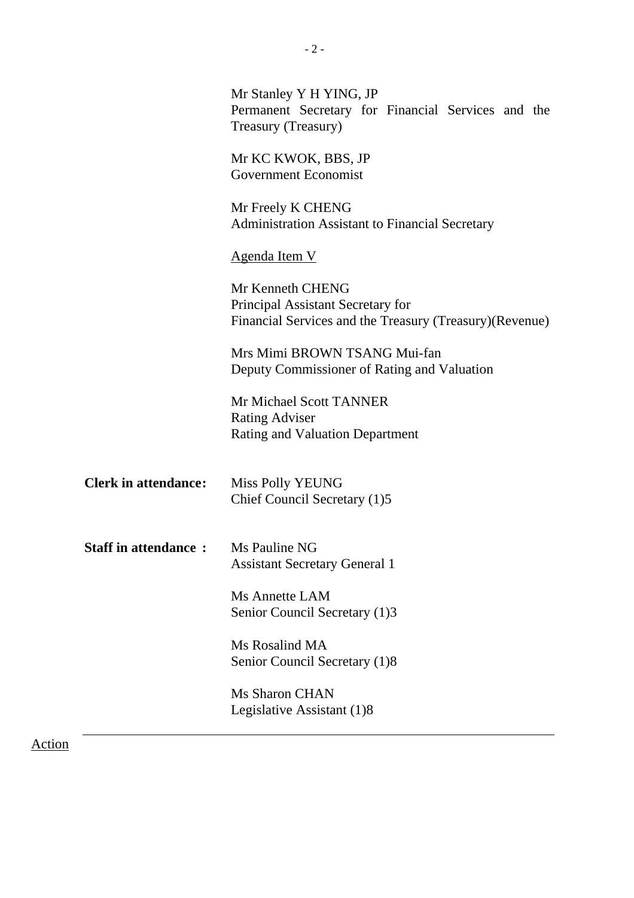|                                            | Mr Stanley Y H YING, JP<br>Permanent Secretary for Financial Services and the<br>Treasury (Treasury)              |
|--------------------------------------------|-------------------------------------------------------------------------------------------------------------------|
|                                            | Mr KC KWOK, BBS, JP<br><b>Government Economist</b>                                                                |
|                                            | Mr Freely K CHENG<br><b>Administration Assistant to Financial Secretary</b>                                       |
|                                            | <b>Agenda Item V</b>                                                                                              |
|                                            | Mr Kenneth CHENG<br>Principal Assistant Secretary for<br>Financial Services and the Treasury (Treasury) (Revenue) |
|                                            | Mrs Mimi BROWN TSANG Mui-fan<br>Deputy Commissioner of Rating and Valuation                                       |
|                                            | <b>Mr Michael Scott TANNER</b><br><b>Rating Adviser</b><br><b>Rating and Valuation Department</b>                 |
| <b>Clerk in attendance:</b>                | Miss Polly YEUNG<br>Chief Council Secretary (1)5                                                                  |
| <b>Staff in attendance : Ms Pauline NG</b> | <b>Assistant Secretary General 1</b>                                                                              |
|                                            | Ms Annette LAM<br>Senior Council Secretary (1)3                                                                   |
|                                            | Ms Rosalind MA<br>Senior Council Secretary (1)8                                                                   |
|                                            | <b>Ms Sharon CHAN</b><br>Legislative Assistant (1)8                                                               |
|                                            |                                                                                                                   |

- 2 -

Action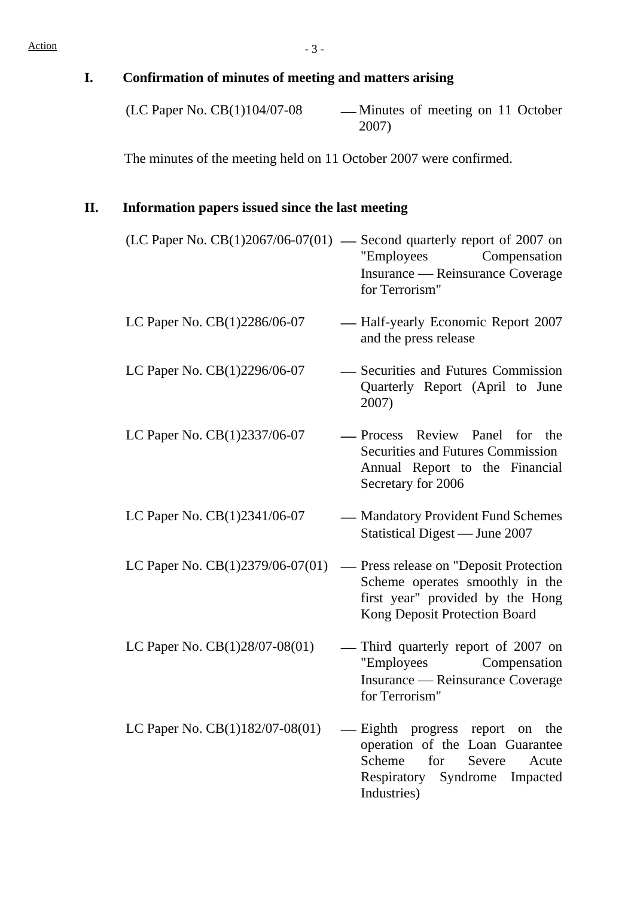# **I. Confirmation of minutes of meeting and matters arising**  2007) The minutes of the meeting held on 11 October 2007 were confirmed. **II. Information papers issued since the last meeting**  (LC Paper No.  $CB(1)2067/06-07(01)$  — Second quarterly report of 2007 on "Employees Compensation Insurance — Reinsurance Coverage for Terrorism" LC Paper No.  $CB(1)2286/06-07$  - Half-yearly Economic Report 2007 and the press release LC Paper No.  $CB(1)2296/06-07$  - Securities and Futures Commission Quarterly Report (April to June 2007) LC Paper No.  $CB(1)2337/06-07$  - Process Review Panel for the Securities and Futures Commission Annual Report to the Financial Secretary for 2006 LC Paper No. CB(1)2341/06-07 — Mandatory Provident Fund Schemes Statistical Digest — June 2007 LC Paper No.  $CB(1)2379/06-07(01)$  — Press release on "Deposit Protection Scheme operates smoothly in the first year" provided by the Hong Kong Deposit Protection Board LC Paper No.  $CB(1)28/07-08(01)$  - Third quarterly report of 2007 on "Employees Compensation Insurance — Reinsurance Coverage for Terrorism" LC Paper No.  $CB(1)182/07-08(01)$  — Eighth progress report on the operation of the Loan Guarantee Scheme for Severe Acute Respiratory Syndrome Impacted Industries)

 $(LC$  Paper No.  $CB(1)104/07-08$  — Minutes of meeting on 11 October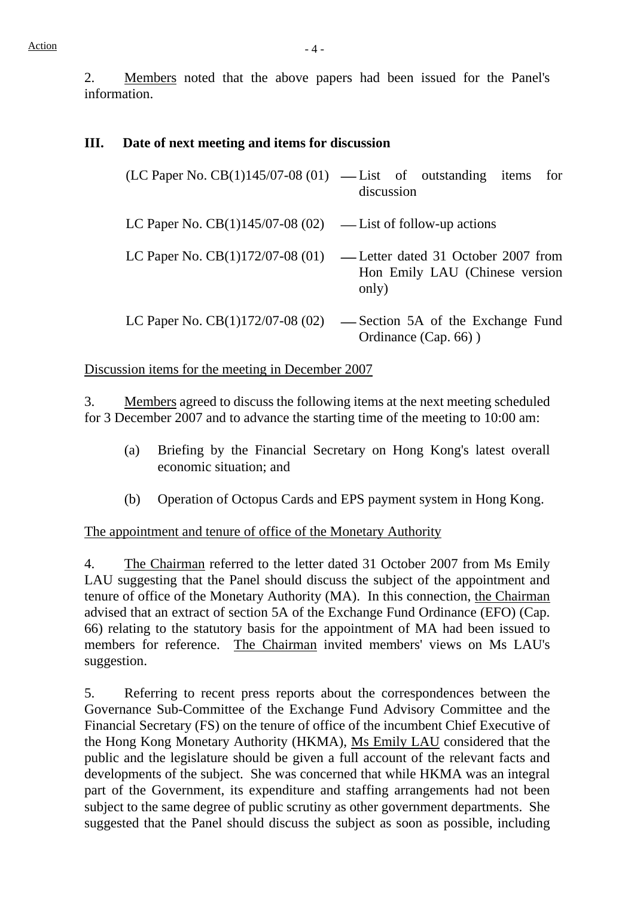2. Members noted that the above papers had been issued for the Panel's information.

#### **III. Date of next meeting and items for discussion**

|                                                               | $(LC$ Paper No. $CB(1)145/07-08(01)$ — List of outstanding items for<br>discussion |
|---------------------------------------------------------------|------------------------------------------------------------------------------------|
| LC Paper No. $CB(1)145/07-08(02)$ — List of follow-up actions |                                                                                    |
| LC Paper No. $CB(1)172/07-08(01)$                             | -Letter dated 31 October 2007 from<br>Hon Emily LAU (Chinese version<br>only)      |
| LC Paper No. $CB(1)172/07-08(02)$                             | -Section 5A of the Exchange Fund<br>Ordinance (Cap. 66))                           |

#### Discussion items for the meeting in December 2007

3. Members agreed to discuss the following items at the next meeting scheduled for 3 December 2007 and to advance the starting time of the meeting to 10:00 am:

- (a) Briefing by the Financial Secretary on Hong Kong's latest overall economic situation; and
- (b) Operation of Octopus Cards and EPS payment system in Hong Kong.

The appointment and tenure of office of the Monetary Authority

4. The Chairman referred to the letter dated 31 October 2007 from Ms Emily LAU suggesting that the Panel should discuss the subject of the appointment and tenure of office of the Monetary Authority (MA). In this connection, the Chairman advised that an extract of section 5A of the Exchange Fund Ordinance (EFO) (Cap. 66) relating to the statutory basis for the appointment of MA had been issued to members for reference. The Chairman invited members' views on Ms LAU's suggestion.

5. Referring to recent press reports about the correspondences between the Governance Sub-Committee of the Exchange Fund Advisory Committee and the Financial Secretary (FS) on the tenure of office of the incumbent Chief Executive of the Hong Kong Monetary Authority (HKMA), Ms Emily LAU considered that the public and the legislature should be given a full account of the relevant facts and developments of the subject. She was concerned that while HKMA was an integral part of the Government, its expenditure and staffing arrangements had not been subject to the same degree of public scrutiny as other government departments. She suggested that the Panel should discuss the subject as soon as possible, including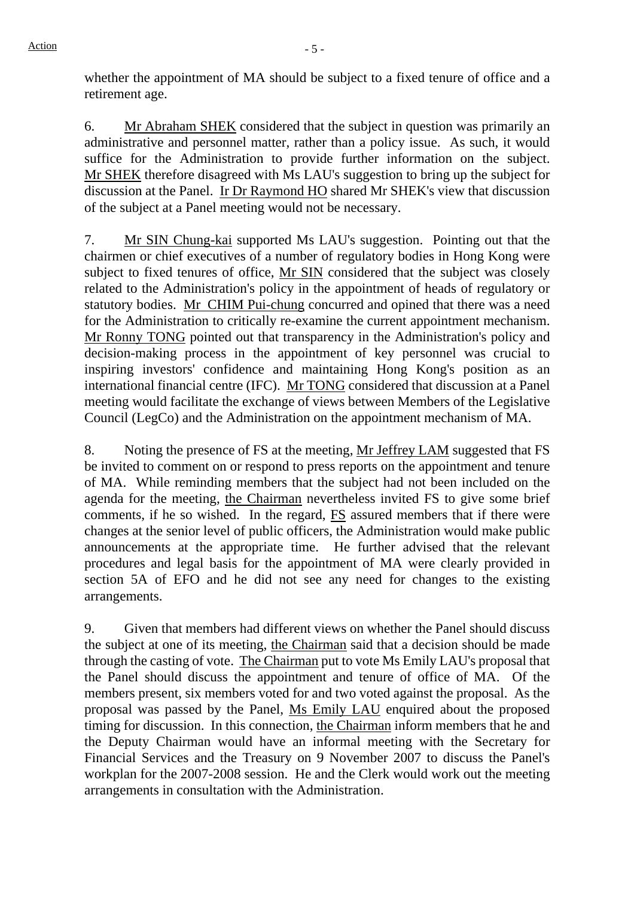whether the appointment of MA should be subject to a fixed tenure of office and a retirement age.

6. Mr Abraham SHEK considered that the subject in question was primarily an administrative and personnel matter, rather than a policy issue. As such, it would suffice for the Administration to provide further information on the subject. Mr SHEK therefore disagreed with Ms LAU's suggestion to bring up the subject for discussion at the Panel. Ir Dr Raymond HO shared Mr SHEK's view that discussion of the subject at a Panel meeting would not be necessary.

7. Mr SIN Chung-kai supported Ms LAU's suggestion. Pointing out that the chairmen or chief executives of a number of regulatory bodies in Hong Kong were subject to fixed tenures of office, Mr SIN considered that the subject was closely related to the Administration's policy in the appointment of heads of regulatory or statutory bodies. Mr CHIM Pui-chung concurred and opined that there was a need for the Administration to critically re-examine the current appointment mechanism. Mr Ronny TONG pointed out that transparency in the Administration's policy and decision-making process in the appointment of key personnel was crucial to inspiring investors' confidence and maintaining Hong Kong's position as an international financial centre (IFC). Mr TONG considered that discussion at a Panel meeting would facilitate the exchange of views between Members of the Legislative Council (LegCo) and the Administration on the appointment mechanism of MA.

8. Noting the presence of FS at the meeting, Mr Jeffrey LAM suggested that FS be invited to comment on or respond to press reports on the appointment and tenure of MA. While reminding members that the subject had not been included on the agenda for the meeting, the Chairman nevertheless invited FS to give some brief comments, if he so wished. In the regard, FS assured members that if there were changes at the senior level of public officers, the Administration would make public announcements at the appropriate time. He further advised that the relevant procedures and legal basis for the appointment of MA were clearly provided in section 5A of EFO and he did not see any need for changes to the existing arrangements.

9. Given that members had different views on whether the Panel should discuss the subject at one of its meeting, the Chairman said that a decision should be made through the casting of vote. The Chairman put to vote Ms Emily LAU's proposal that the Panel should discuss the appointment and tenure of office of MA. Of the members present, six members voted for and two voted against the proposal. As the proposal was passed by the Panel, Ms Emily LAU enquired about the proposed timing for discussion. In this connection, the Chairman inform members that he and the Deputy Chairman would have an informal meeting with the Secretary for Financial Services and the Treasury on 9 November 2007 to discuss the Panel's workplan for the 2007-2008 session. He and the Clerk would work out the meeting arrangements in consultation with the Administration.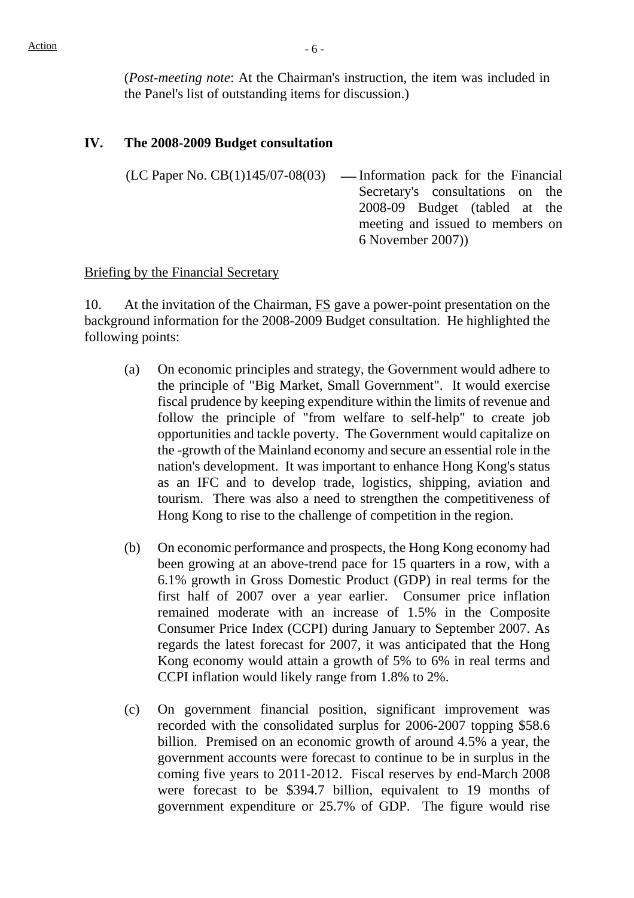(*Post-meeting note*: At the Chairman's instruction, the item was included in the Panel's list of outstanding items for discussion.)

#### **IV. The 2008-2009 Budget consultation**

 $(LC$  Paper No.  $CB(1)145/07-08(03)$  — Information pack for the Financial Secretary's consultations on the 2008-09 Budget (tabled at the meeting and issued to members on 6 November 2007))

#### Briefing by the Financial Secretary

10. At the invitation of the Chairman, **FS** gave a power-point presentation on the background information for the 2008-2009 Budget consultation. He highlighted the following points:

- (a) On economic principles and strategy, the Government would adhere to the principle of "Big Market, Small Government". It would exercise fiscal prudence by keeping expenditure within the limits of revenue and follow the principle of "from welfare to self-help" to create job opportunities and tackle poverty. The Government would capitalize on the -growth of the Mainland economy and secure an essential role in the nation's development. It was important to enhance Hong Kong's status as an IFC and to develop trade, logistics, shipping, aviation and tourism. There was also a need to strengthen the competitiveness of Hong Kong to rise to the challenge of competition in the region.
- (b) On economic performance and prospects, the Hong Kong economy had been growing at an above-trend pace for 15 quarters in a row, with a 6.1% growth in Gross Domestic Product (GDP) in real terms for the first half of 2007 over a year earlier. Consumer price inflation remained moderate with an increase of 1.5% in the Composite Consumer Price Index (CCPI) during January to September 2007. As regards the latest forecast for 2007, it was anticipated that the Hong Kong economy would attain a growth of 5% to 6% in real terms and CCPI inflation would likely range from 1.8% to 2%.
- (c) On government financial position, significant improvement was recorded with the consolidated surplus for 2006-2007 topping \$58.6 billion. Premised on an economic growth of around 4.5% a year, the government accounts were forecast to continue to be in surplus in the coming five years to 2011-2012. Fiscal reserves by end-March 2008 were forecast to be \$394.7 billion, equivalent to 19 months of government expenditure or 25.7% of GDP. The figure would rise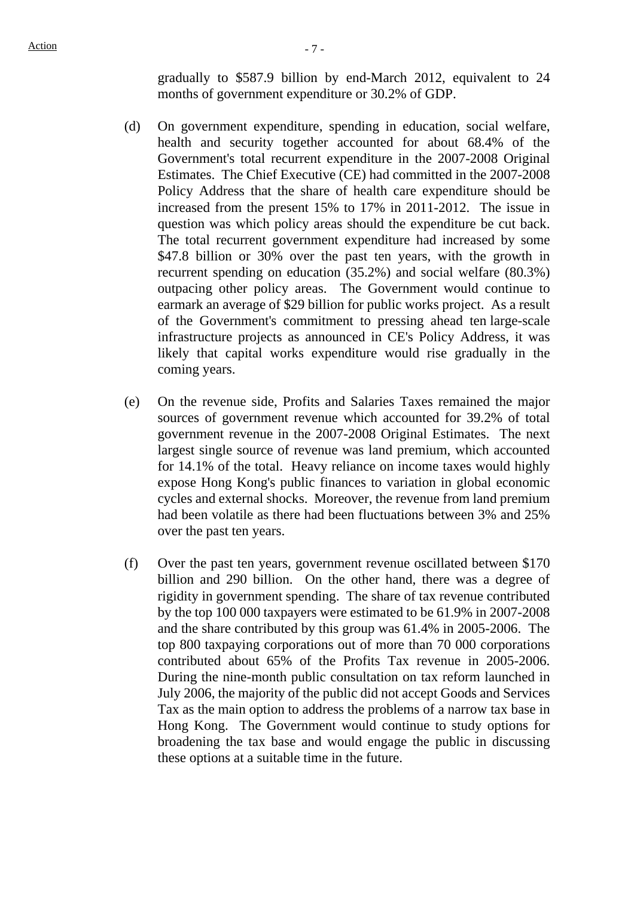gradually to \$587.9 billion by end-March 2012, equivalent to 24 months of government expenditure or 30.2% of GDP.

- (d) On government expenditure, spending in education, social welfare, health and security together accounted for about 68.4% of the Government's total recurrent expenditure in the 2007-2008 Original Estimates. The Chief Executive (CE) had committed in the 2007-2008 Policy Address that the share of health care expenditure should be increased from the present 15% to 17% in 2011-2012. The issue in question was which policy areas should the expenditure be cut back. The total recurrent government expenditure had increased by some \$47.8 billion or 30% over the past ten years, with the growth in recurrent spending on education (35.2%) and social welfare (80.3%) outpacing other policy areas. The Government would continue to earmark an average of \$29 billion for public works project. As a result of the Government's commitment to pressing ahead ten large-scale infrastructure projects as announced in CE's Policy Address, it was likely that capital works expenditure would rise gradually in the coming years.
- (e) On the revenue side, Profits and Salaries Taxes remained the major sources of government revenue which accounted for 39.2% of total government revenue in the 2007-2008 Original Estimates. The next largest single source of revenue was land premium, which accounted for 14.1% of the total. Heavy reliance on income taxes would highly expose Hong Kong's public finances to variation in global economic cycles and external shocks. Moreover, the revenue from land premium had been volatile as there had been fluctuations between 3% and 25% over the past ten years.
- (f) Over the past ten years, government revenue oscillated between \$170 billion and 290 billion. On the other hand, there was a degree of rigidity in government spending. The share of tax revenue contributed by the top 100 000 taxpayers were estimated to be 61.9% in 2007-2008 and the share contributed by this group was 61.4% in 2005-2006. The top 800 taxpaying corporations out of more than 70 000 corporations contributed about 65% of the Profits Tax revenue in 2005-2006. During the nine-month public consultation on tax reform launched in July 2006, the majority of the public did not accept Goods and Services Tax as the main option to address the problems of a narrow tax base in Hong Kong. The Government would continue to study options for broadening the tax base and would engage the public in discussing these options at a suitable time in the future.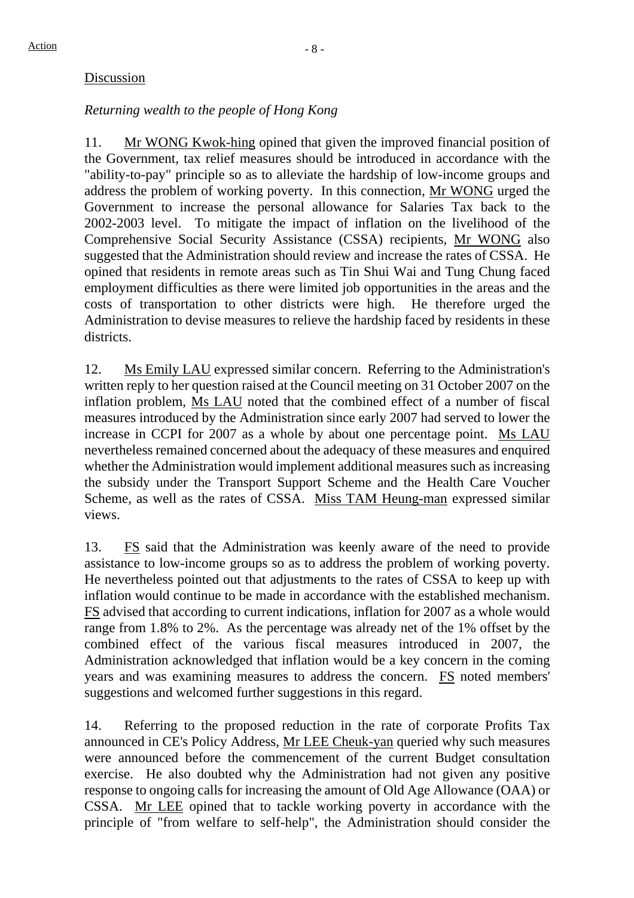#### Discussion

### *Returning wealth to the people of Hong Kong*

11. Mr WONG Kwok-hing opined that given the improved financial position of the Government, tax relief measures should be introduced in accordance with the "ability-to-pay" principle so as to alleviate the hardship of low-income groups and address the problem of working poverty. In this connection, Mr WONG urged the Government to increase the personal allowance for Salaries Tax back to the 2002-2003 level. To mitigate the impact of inflation on the livelihood of the Comprehensive Social Security Assistance (CSSA) recipients, Mr WONG also suggested that the Administration should review and increase the rates of CSSA. He opined that residents in remote areas such as Tin Shui Wai and Tung Chung faced employment difficulties as there were limited job opportunities in the areas and the costs of transportation to other districts were high. He therefore urged the Administration to devise measures to relieve the hardship faced by residents in these districts.

12. Ms Emily LAU expressed similar concern. Referring to the Administration's written reply to her question raised at the Council meeting on 31 October 2007 on the inflation problem, Ms LAU noted that the combined effect of a number of fiscal measures introduced by the Administration since early 2007 had served to lower the increase in CCPI for 2007 as a whole by about one percentage point. Ms LAU nevertheless remained concerned about the adequacy of these measures and enquired whether the Administration would implement additional measures such as increasing the subsidy under the Transport Support Scheme and the Health Care Voucher Scheme, as well as the rates of CSSA. Miss TAM Heung-man expressed similar views.

13. FS said that the Administration was keenly aware of the need to provide assistance to low-income groups so as to address the problem of working poverty. He nevertheless pointed out that adjustments to the rates of CSSA to keep up with inflation would continue to be made in accordance with the established mechanism. FS advised that according to current indications, inflation for 2007 as a whole would range from 1.8% to 2%. As the percentage was already net of the 1% offset by the combined effect of the various fiscal measures introduced in 2007, the Administration acknowledged that inflation would be a key concern in the coming years and was examining measures to address the concern. FS noted members' suggestions and welcomed further suggestions in this regard.

14. Referring to the proposed reduction in the rate of corporate Profits Tax announced in CE's Policy Address, Mr LEE Cheuk-yan queried why such measures were announced before the commencement of the current Budget consultation exercise. He also doubted why the Administration had not given any positive response to ongoing calls for increasing the amount of Old Age Allowance (OAA) or CSSA. Mr LEE opined that to tackle working poverty in accordance with the principle of "from welfare to self-help", the Administration should consider the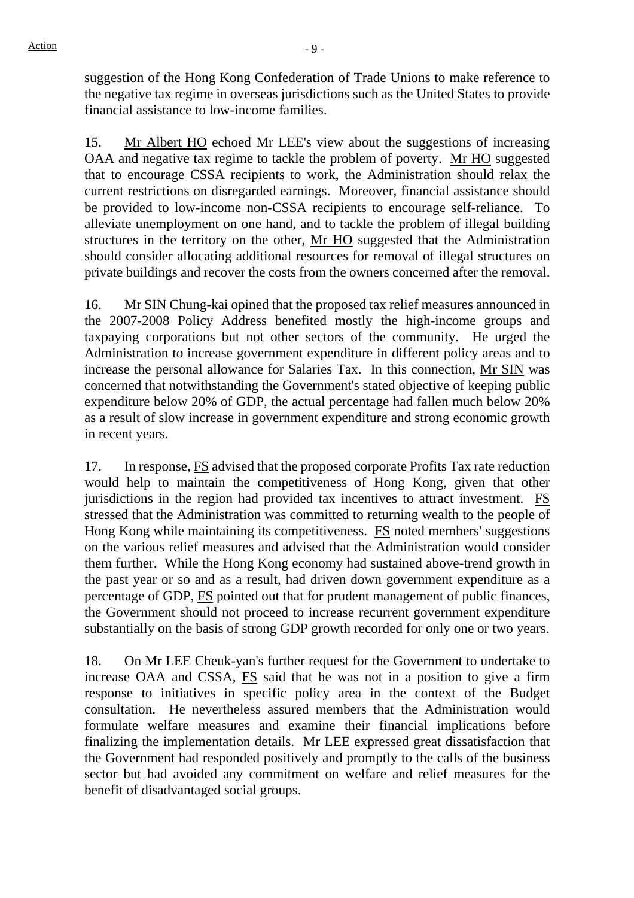suggestion of the Hong Kong Confederation of Trade Unions to make reference to the negative tax regime in overseas jurisdictions such as the United States to provide financial assistance to low-income families.

15. Mr Albert HO echoed Mr LEE's view about the suggestions of increasing OAA and negative tax regime to tackle the problem of poverty. Mr HO suggested that to encourage CSSA recipients to work, the Administration should relax the current restrictions on disregarded earnings. Moreover, financial assistance should be provided to low-income non-CSSA recipients to encourage self-reliance. To alleviate unemployment on one hand, and to tackle the problem of illegal building structures in the territory on the other, Mr HO suggested that the Administration should consider allocating additional resources for removal of illegal structures on private buildings and recover the costs from the owners concerned after the removal.

16. Mr SIN Chung-kai opined that the proposed tax relief measures announced in the 2007-2008 Policy Address benefited mostly the high-income groups and taxpaying corporations but not other sectors of the community. He urged the Administration to increase government expenditure in different policy areas and to increase the personal allowance for Salaries Tax. In this connection, Mr SIN was concerned that notwithstanding the Government's stated objective of keeping public expenditure below 20% of GDP, the actual percentage had fallen much below 20% as a result of slow increase in government expenditure and strong economic growth in recent years.

17. In response, FS advised that the proposed corporate Profits Tax rate reduction would help to maintain the competitiveness of Hong Kong, given that other jurisdictions in the region had provided tax incentives to attract investment. FS stressed that the Administration was committed to returning wealth to the people of Hong Kong while maintaining its competitiveness. FS noted members' suggestions on the various relief measures and advised that the Administration would consider them further. While the Hong Kong economy had sustained above-trend growth in the past year or so and as a result, had driven down government expenditure as a percentage of GDP, FS pointed out that for prudent management of public finances, the Government should not proceed to increase recurrent government expenditure substantially on the basis of strong GDP growth recorded for only one or two years.

18. On Mr LEE Cheuk-yan's further request for the Government to undertake to increase OAA and CSSA, FS said that he was not in a position to give a firm response to initiatives in specific policy area in the context of the Budget consultation. He nevertheless assured members that the Administration would formulate welfare measures and examine their financial implications before finalizing the implementation details. Mr LEE expressed great dissatisfaction that the Government had responded positively and promptly to the calls of the business sector but had avoided any commitment on welfare and relief measures for the benefit of disadvantaged social groups.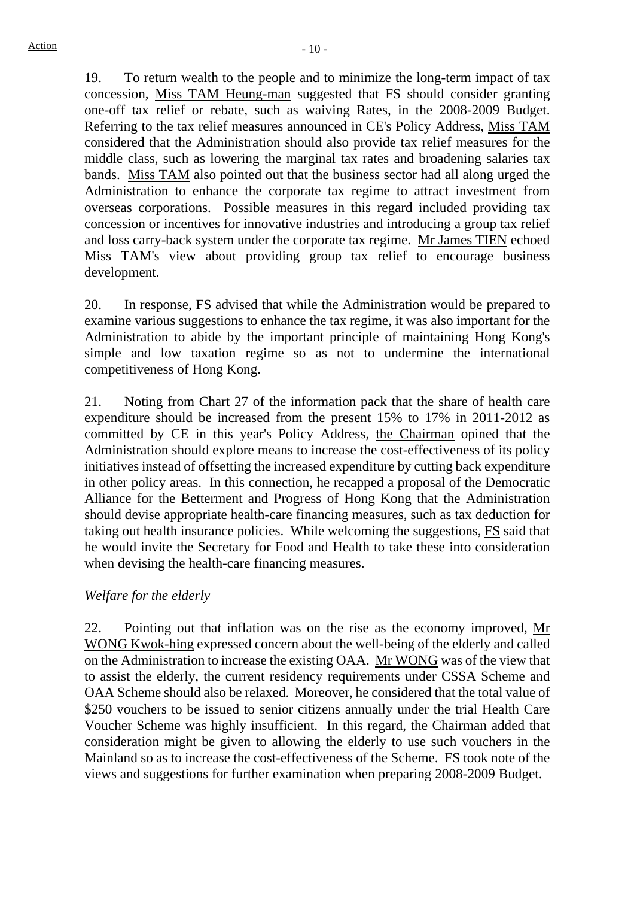19. To return wealth to the people and to minimize the long-term impact of tax concession, Miss TAM Heung-man suggested that FS should consider granting one-off tax relief or rebate, such as waiving Rates, in the 2008-2009 Budget. Referring to the tax relief measures announced in CE's Policy Address, Miss TAM considered that the Administration should also provide tax relief measures for the middle class, such as lowering the marginal tax rates and broadening salaries tax bands. Miss TAM also pointed out that the business sector had all along urged the Administration to enhance the corporate tax regime to attract investment from overseas corporations. Possible measures in this regard included providing tax concession or incentives for innovative industries and introducing a group tax relief and loss carry-back system under the corporate tax regime. Mr James TIEN echoed Miss TAM's view about providing group tax relief to encourage business development.

20. In response, FS advised that while the Administration would be prepared to examine various suggestions to enhance the tax regime, it was also important for the Administration to abide by the important principle of maintaining Hong Kong's simple and low taxation regime so as not to undermine the international competitiveness of Hong Kong.

21. Noting from Chart 27 of the information pack that the share of health care expenditure should be increased from the present 15% to 17% in 2011-2012 as committed by CE in this year's Policy Address, the Chairman opined that the Administration should explore means to increase the cost-effectiveness of its policy initiatives instead of offsetting the increased expenditure by cutting back expenditure in other policy areas. In this connection, he recapped a proposal of the Democratic Alliance for the Betterment and Progress of Hong Kong that the Administration should devise appropriate health-care financing measures, such as tax deduction for taking out health insurance policies. While welcoming the suggestions, FS said that he would invite the Secretary for Food and Health to take these into consideration when devising the health-care financing measures.

#### *Welfare for the elderly*

22. Pointing out that inflation was on the rise as the economy improved, Mr WONG Kwok-hing expressed concern about the well-being of the elderly and called on the Administration to increase the existing OAA. Mr WONG was of the view that to assist the elderly, the current residency requirements under CSSA Scheme and OAA Scheme should also be relaxed. Moreover, he considered that the total value of \$250 vouchers to be issued to senior citizens annually under the trial Health Care Voucher Scheme was highly insufficient. In this regard, the Chairman added that consideration might be given to allowing the elderly to use such vouchers in the Mainland so as to increase the cost-effectiveness of the Scheme. FS took note of the views and suggestions for further examination when preparing 2008-2009 Budget.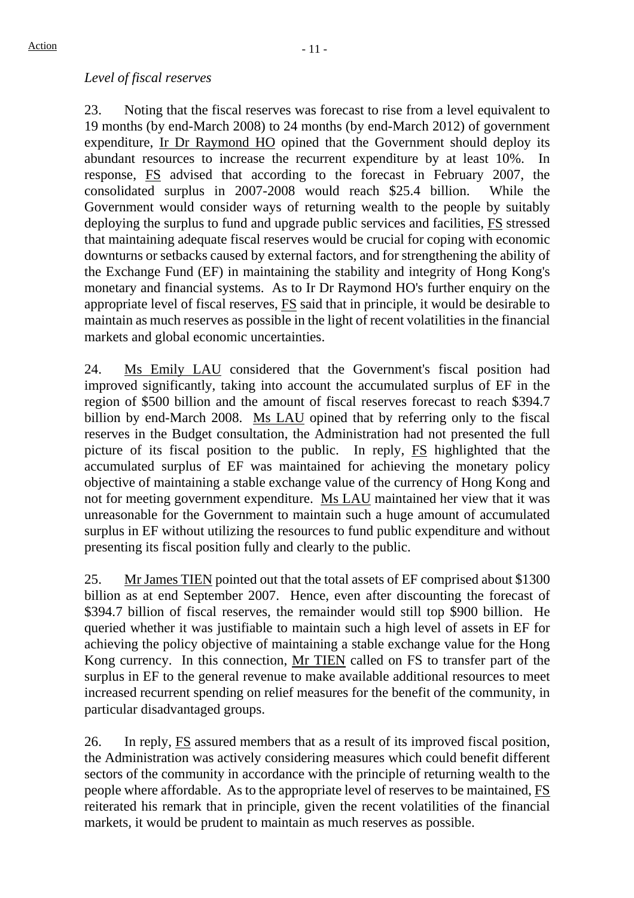#### *Level of fiscal reserves*

23. Noting that the fiscal reserves was forecast to rise from a level equivalent to 19 months (by end-March 2008) to 24 months (by end-March 2012) of government expenditure, Ir Dr Raymond HO opined that the Government should deploy its abundant resources to increase the recurrent expenditure by at least 10%. In response, FS advised that according to the forecast in February 2007, the consolidated surplus in 2007-2008 would reach \$25.4 billion. While the Government would consider ways of returning wealth to the people by suitably deploying the surplus to fund and upgrade public services and facilities, FS stressed that maintaining adequate fiscal reserves would be crucial for coping with economic downturns or setbacks caused by external factors, and for strengthening the ability of the Exchange Fund (EF) in maintaining the stability and integrity of Hong Kong's monetary and financial systems. As to Ir Dr Raymond HO's further enquiry on the appropriate level of fiscal reserves, FS said that in principle, it would be desirable to maintain as much reserves as possible in the light of recent volatilities in the financial markets and global economic uncertainties.

24. Ms Emily LAU considered that the Government's fiscal position had improved significantly, taking into account the accumulated surplus of EF in the region of \$500 billion and the amount of fiscal reserves forecast to reach \$394.7 billion by end-March 2008. Ms LAU opined that by referring only to the fiscal reserves in the Budget consultation, the Administration had not presented the full picture of its fiscal position to the public. In reply, FS highlighted that the accumulated surplus of EF was maintained for achieving the monetary policy objective of maintaining a stable exchange value of the currency of Hong Kong and not for meeting government expenditure. Ms LAU maintained her view that it was unreasonable for the Government to maintain such a huge amount of accumulated surplus in EF without utilizing the resources to fund public expenditure and without presenting its fiscal position fully and clearly to the public.

25. Mr James TIEN pointed out that the total assets of EF comprised about \$1300 billion as at end September 2007. Hence, even after discounting the forecast of \$394.7 billion of fiscal reserves, the remainder would still top \$900 billion. He queried whether it was justifiable to maintain such a high level of assets in EF for achieving the policy objective of maintaining a stable exchange value for the Hong Kong currency. In this connection, Mr TIEN called on FS to transfer part of the surplus in EF to the general revenue to make available additional resources to meet increased recurrent spending on relief measures for the benefit of the community, in particular disadvantaged groups.

26. In reply, FS assured members that as a result of its improved fiscal position, the Administration was actively considering measures which could benefit different sectors of the community in accordance with the principle of returning wealth to the people where affordable. As to the appropriate level of reserves to be maintained, FS reiterated his remark that in principle, given the recent volatilities of the financial markets, it would be prudent to maintain as much reserves as possible.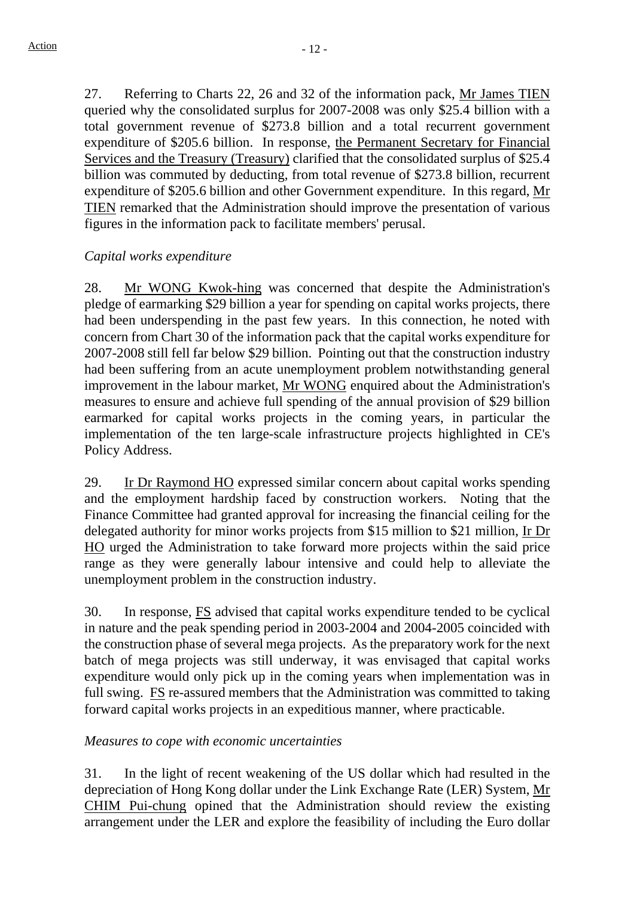27. Referring to Charts 22, 26 and 32 of the information pack, Mr James TIEN queried why the consolidated surplus for 2007-2008 was only \$25.4 billion with a total government revenue of \$273.8 billion and a total recurrent government expenditure of \$205.6 billion. In response, the Permanent Secretary for Financial Services and the Treasury (Treasury) clarified that the consolidated surplus of \$25.4 billion was commuted by deducting, from total revenue of \$273.8 billion, recurrent expenditure of \$205.6 billion and other Government expenditure. In this regard, Mr TIEN remarked that the Administration should improve the presentation of various figures in the information pack to facilitate members' perusal.

#### *Capital works expenditure*

28. Mr WONG Kwok-hing was concerned that despite the Administration's pledge of earmarking \$29 billion a year for spending on capital works projects, there had been underspending in the past few years. In this connection, he noted with concern from Chart 30 of the information pack that the capital works expenditure for 2007-2008 still fell far below \$29 billion. Pointing out that the construction industry had been suffering from an acute unemployment problem notwithstanding general improvement in the labour market, Mr WONG enquired about the Administration's measures to ensure and achieve full spending of the annual provision of \$29 billion earmarked for capital works projects in the coming years, in particular the implementation of the ten large-scale infrastructure projects highlighted in CE's Policy Address.

29. Ir Dr Raymond HO expressed similar concern about capital works spending and the employment hardship faced by construction workers. Noting that the Finance Committee had granted approval for increasing the financial ceiling for the delegated authority for minor works projects from \$15 million to \$21 million, Ir Dr HO urged the Administration to take forward more projects within the said price range as they were generally labour intensive and could help to alleviate the unemployment problem in the construction industry.

30. In response, FS advised that capital works expenditure tended to be cyclical in nature and the peak spending period in 2003-2004 and 2004-2005 coincided with the construction phase of several mega projects. As the preparatory work for the next batch of mega projects was still underway, it was envisaged that capital works expenditure would only pick up in the coming years when implementation was in full swing. FS re-assured members that the Administration was committed to taking forward capital works projects in an expeditious manner, where practicable.

#### *Measures to cope with economic uncertainties*

31. In the light of recent weakening of the US dollar which had resulted in the depreciation of Hong Kong dollar under the Link Exchange Rate (LER) System, Mr CHIM Pui-chung opined that the Administration should review the existing arrangement under the LER and explore the feasibility of including the Euro dollar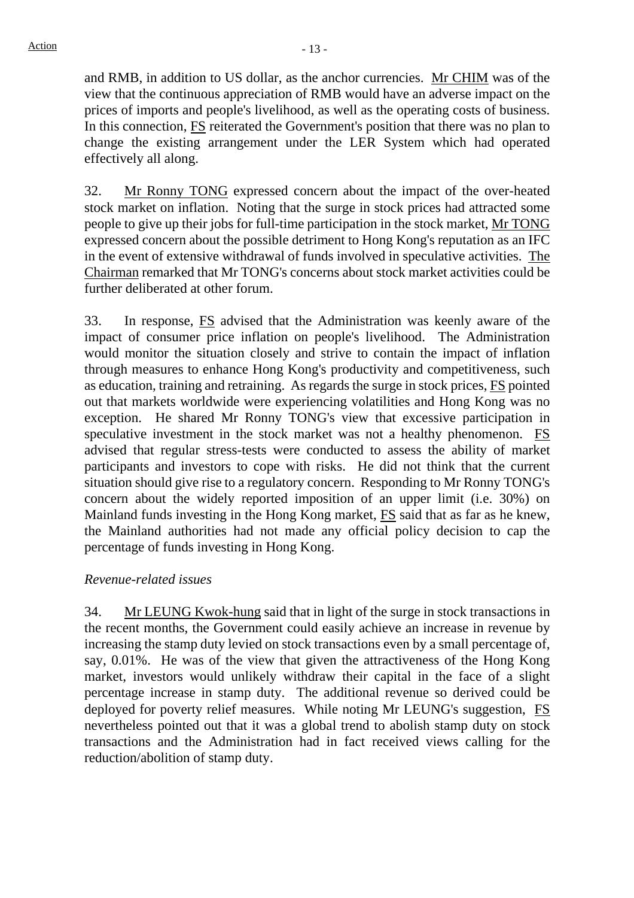and RMB, in addition to US dollar, as the anchor currencies. Mr CHIM was of the view that the continuous appreciation of RMB would have an adverse impact on the prices of imports and people's livelihood, as well as the operating costs of business. In this connection, FS reiterated the Government's position that there was no plan to change the existing arrangement under the LER System which had operated effectively all along.

32. Mr Ronny TONG expressed concern about the impact of the over-heated stock market on inflation. Noting that the surge in stock prices had attracted some people to give up their jobs for full-time participation in the stock market, Mr TONG expressed concern about the possible detriment to Hong Kong's reputation as an IFC in the event of extensive withdrawal of funds involved in speculative activities. The Chairman remarked that Mr TONG's concerns about stock market activities could be further deliberated at other forum.

33. In response, FS advised that the Administration was keenly aware of the impact of consumer price inflation on people's livelihood. The Administration would monitor the situation closely and strive to contain the impact of inflation through measures to enhance Hong Kong's productivity and competitiveness, such as education, training and retraining. As regards the surge in stock prices, FS pointed out that markets worldwide were experiencing volatilities and Hong Kong was no exception. He shared Mr Ronny TONG's view that excessive participation in speculative investment in the stock market was not a healthy phenomenon. FS advised that regular stress-tests were conducted to assess the ability of market participants and investors to cope with risks. He did not think that the current situation should give rise to a regulatory concern. Responding to Mr Ronny TONG's concern about the widely reported imposition of an upper limit (i.e. 30%) on Mainland funds investing in the Hong Kong market, FS said that as far as he knew, the Mainland authorities had not made any official policy decision to cap the percentage of funds investing in Hong Kong.

#### *Revenue-related issues*

34. Mr LEUNG Kwok-hung said that in light of the surge in stock transactions in the recent months, the Government could easily achieve an increase in revenue by increasing the stamp duty levied on stock transactions even by a small percentage of, say, 0.01%. He was of the view that given the attractiveness of the Hong Kong market, investors would unlikely withdraw their capital in the face of a slight percentage increase in stamp duty. The additional revenue so derived could be deployed for poverty relief measures. While noting Mr LEUNG's suggestion, FS nevertheless pointed out that it was a global trend to abolish stamp duty on stock transactions and the Administration had in fact received views calling for the reduction/abolition of stamp duty.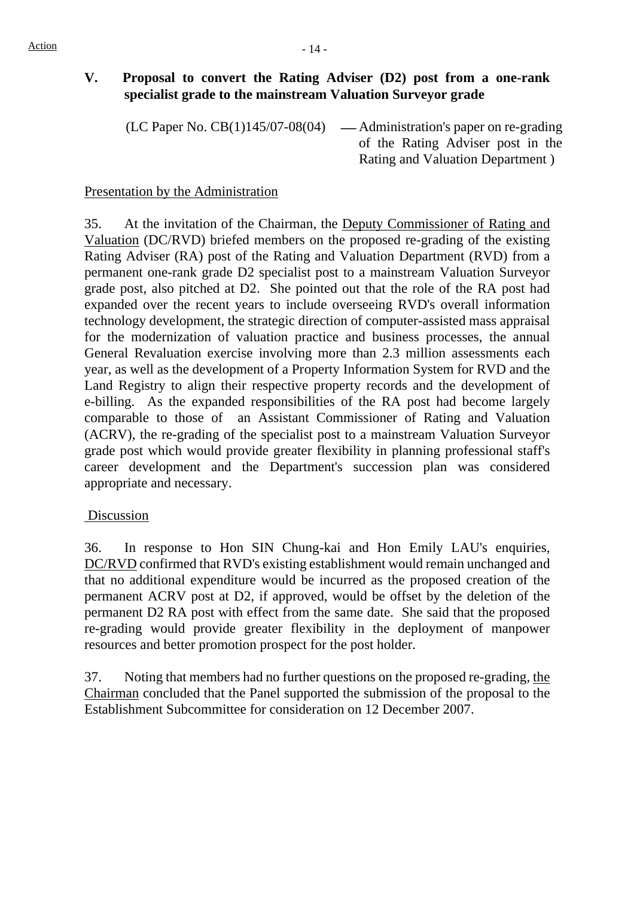## **V. Proposal to convert the Rating Adviser (D2) post from a one-rank specialist grade to the mainstream Valuation Surveyor grade**

(LC Paper No.  $CB(1)145/07-08(04)$  — Administration's paper on re-grading

of the Rating Adviser post in the Rating and Valuation Department )

#### Presentation by the Administration

35. At the invitation of the Chairman, the Deputy Commissioner of Rating and Valuation (DC/RVD) briefed members on the proposed re-grading of the existing Rating Adviser (RA) post of the Rating and Valuation Department (RVD) from a permanent one-rank grade D2 specialist post to a mainstream Valuation Surveyor grade post, also pitched at D2. She pointed out that the role of the RA post had expanded over the recent years to include overseeing RVD's overall information technology development, the strategic direction of computer-assisted mass appraisal for the modernization of valuation practice and business processes, the annual General Revaluation exercise involving more than 2.3 million assessments each year, as well as the development of a Property Information System for RVD and the Land Registry to align their respective property records and the development of e-billing. As the expanded responsibilities of the RA post had become largely comparable to those of an Assistant Commissioner of Rating and Valuation (ACRV), the re-grading of the specialist post to a mainstream Valuation Surveyor grade post which would provide greater flexibility in planning professional staff's career development and the Department's succession plan was considered appropriate and necessary.

#### Discussion

36. In response to Hon SIN Chung-kai and Hon Emily LAU's enquiries, DC/RVD confirmed that RVD's existing establishment would remain unchanged and that no additional expenditure would be incurred as the proposed creation of the permanent ACRV post at D2, if approved, would be offset by the deletion of the permanent D2 RA post with effect from the same date. She said that the proposed re-grading would provide greater flexibility in the deployment of manpower resources and better promotion prospect for the post holder.

37. Noting that members had no further questions on the proposed re-grading, the Chairman concluded that the Panel supported the submission of the proposal to the Establishment Subcommittee for consideration on 12 December 2007.